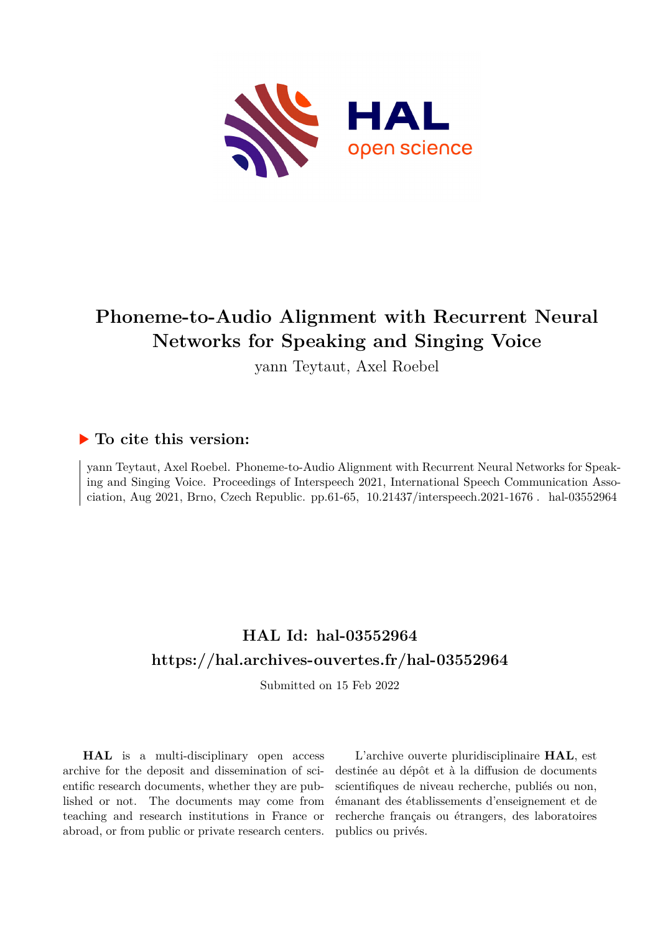

# **Phoneme-to-Audio Alignment with Recurrent Neural Networks for Speaking and Singing Voice**

yann Teytaut, Axel Roebel

## **To cite this version:**

yann Teytaut, Axel Roebel. Phoneme-to-Audio Alignment with Recurrent Neural Networks for Speaking and Singing Voice. Proceedings of Interspeech 2021, International Speech Communication Association, Aug 2021, Brno, Czech Republic. pp.61-65,  $10.21437/$ interspeech.2021-1676. hal-03552964

# **HAL Id: hal-03552964 <https://hal.archives-ouvertes.fr/hal-03552964>**

Submitted on 15 Feb 2022

**HAL** is a multi-disciplinary open access archive for the deposit and dissemination of scientific research documents, whether they are published or not. The documents may come from teaching and research institutions in France or abroad, or from public or private research centers.

L'archive ouverte pluridisciplinaire **HAL**, est destinée au dépôt et à la diffusion de documents scientifiques de niveau recherche, publiés ou non, émanant des établissements d'enseignement et de recherche français ou étrangers, des laboratoires publics ou privés.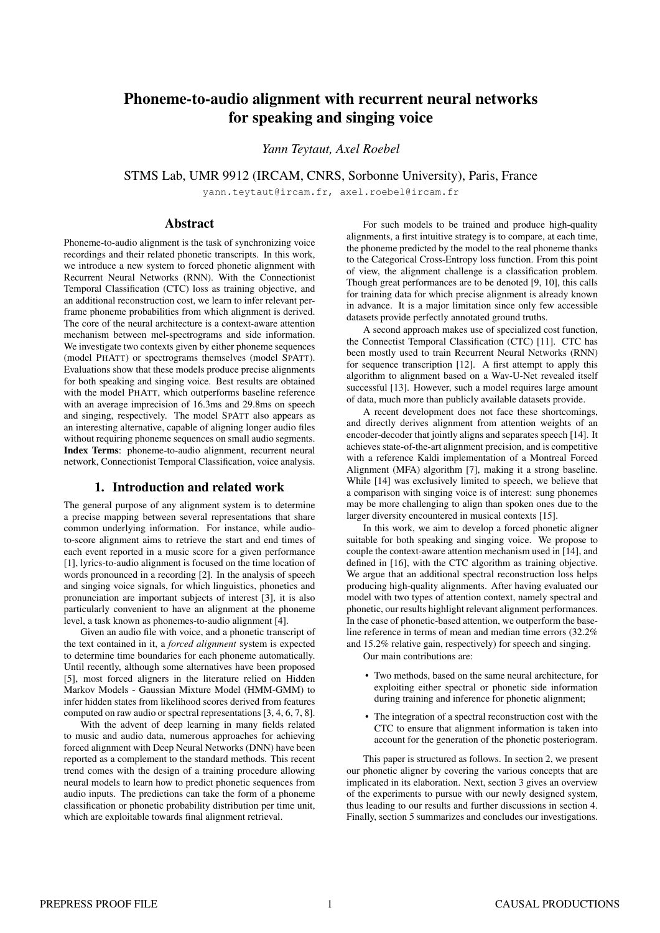## Phoneme-to-audio alignment with recurrent neural networks for speaking and singing voice

*Yann Teytaut, Axel Roebel*

STMS Lab, UMR 9912 (IRCAM, CNRS, Sorbonne University), Paris, France

yann.teytaut@ircam.fr, axel.roebel@ircam.fr

## Abstract

Phoneme-to-audio alignment is the task of synchronizing voice recordings and their related phonetic transcripts. In this work, we introduce a new system to forced phonetic alignment with Recurrent Neural Networks (RNN). With the Connectionist Temporal Classification (CTC) loss as training objective, and an additional reconstruction cost, we learn to infer relevant perframe phoneme probabilities from which alignment is derived. The core of the neural architecture is a context-aware attention mechanism between mel-spectrograms and side information. We investigate two contexts given by either phoneme sequences (model PHATT) or spectrograms themselves (model SPATT). Evaluations show that these models produce precise alignments for both speaking and singing voice. Best results are obtained with the model PHATT, which outperforms baseline reference with an average imprecision of 16.3ms and 29.8ms on speech and singing, respectively. The model SPATT also appears as an interesting alternative, capable of aligning longer audio files without requiring phoneme sequences on small audio segments. Index Terms: phoneme-to-audio alignment, recurrent neural network, Connectionist Temporal Classification, voice analysis.

## 1. Introduction and related work

The general purpose of any alignment system is to determine a precise mapping between several representations that share common underlying information. For instance, while audioto-score alignment aims to retrieve the start and end times of each event reported in a music score for a given performance [1], lyrics-to-audio alignment is focused on the time location of words pronounced in a recording [2]. In the analysis of speech and singing voice signals, for which linguistics, phonetics and pronunciation are important subjects of interest [3], it is also particularly convenient to have an alignment at the phoneme level, a task known as phonemes-to-audio alignment [4].

Given an audio file with voice, and a phonetic transcript of the text contained in it, a *forced alignment* system is expected to determine time boundaries for each phoneme automatically. Until recently, although some alternatives have been proposed [5], most forced aligners in the literature relied on Hidden Markov Models - Gaussian Mixture Model (HMM-GMM) to infer hidden states from likelihood scores derived from features computed on raw audio or spectral representations [3, 4, 6, 7, 8].

With the advent of deep learning in many fields related to music and audio data, numerous approaches for achieving forced alignment with Deep Neural Networks (DNN) have been reported as a complement to the standard methods. This recent trend comes with the design of a training procedure allowing neural models to learn how to predict phonetic sequences from audio inputs. The predictions can take the form of a phoneme classification or phonetic probability distribution per time unit, which are exploitable towards final alignment retrieval.

For such models to be trained and produce high-quality alignments, a first intuitive strategy is to compare, at each time, the phoneme predicted by the model to the real phoneme thanks to the Categorical Cross-Entropy loss function. From this point of view, the alignment challenge is a classification problem. Though great performances are to be denoted [9, 10], this calls for training data for which precise alignment is already known in advance. It is a major limitation since only few accessible datasets provide perfectly annotated ground truths.

A second approach makes use of specialized cost function, the Connectist Temporal Classification (CTC) [11]. CTC has been mostly used to train Recurrent Neural Networks (RNN) for sequence transcription [12]. A first attempt to apply this algorithm to alignment based on a Wav-U-Net revealed itself successful [13]. However, such a model requires large amount of data, much more than publicly available datasets provide.

A recent development does not face these shortcomings, and directly derives alignment from attention weights of an encoder-decoder that jointly aligns and separates speech [14]. It achieves state-of-the-art alignment precision, and is competitive with a reference Kaldi implementation of a Montreal Forced Alignment (MFA) algorithm [7], making it a strong baseline. While [14] was exclusively limited to speech, we believe that a comparison with singing voice is of interest: sung phonemes may be more challenging to align than spoken ones due to the larger diversity encountered in musical contexts [15].

In this work, we aim to develop a forced phonetic aligner suitable for both speaking and singing voice. We propose to couple the context-aware attention mechanism used in [14], and defined in [16], with the CTC algorithm as training objective. We argue that an additional spectral reconstruction loss helps producing high-quality alignments. After having evaluated our model with two types of attention context, namely spectral and phonetic, our results highlight relevant alignment performances. In the case of phonetic-based attention, we outperform the baseline reference in terms of mean and median time errors (32.2% and 15.2% relative gain, respectively) for speech and singing.

Our main contributions are:

- Two methods, based on the same neural architecture, for exploiting either spectral or phonetic side information during training and inference for phonetic alignment;
- The integration of a spectral reconstruction cost with the CTC to ensure that alignment information is taken into account for the generation of the phonetic posteriogram.

This paper is structured as follows. In section 2, we present our phonetic aligner by covering the various concepts that are implicated in its elaboration. Next, section 3 gives an overview of the experiments to pursue with our newly designed system, thus leading to our results and further discussions in section 4. Finally, section 5 summarizes and concludes our investigations.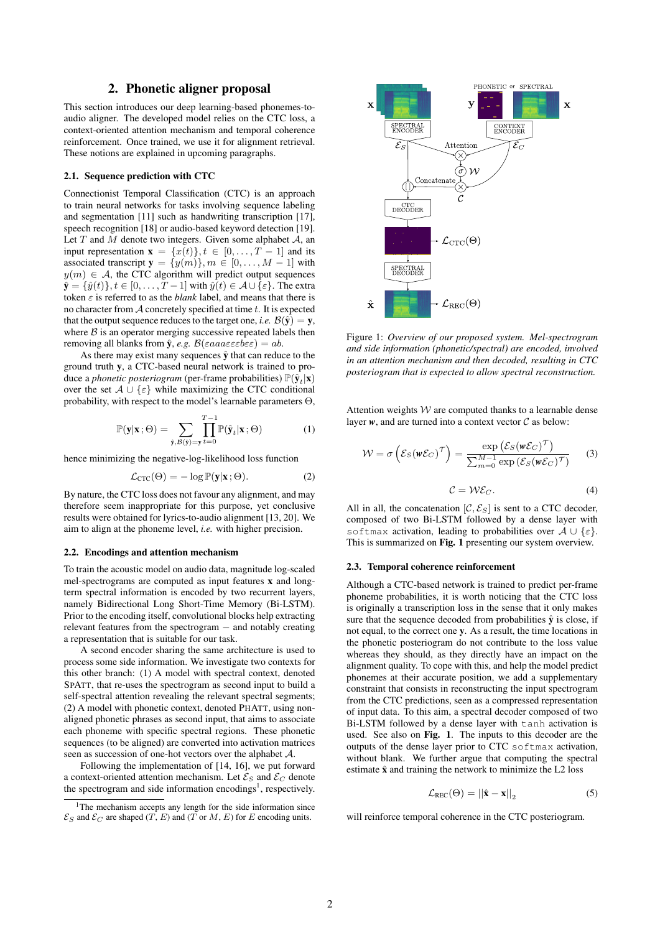## 2. Phonetic aligner proposal

This section introduces our deep learning-based phonemes-toaudio aligner. The developed model relies on the CTC loss, a context-oriented attention mechanism and temporal coherence reinforcement. Once trained, we use it for alignment retrieval. These notions are explained in upcoming paragraphs.

#### 2.1. Sequence prediction with CTC

Connectionist Temporal Classification (CTC) is an approach to train neural networks for tasks involving sequence labeling and segmentation [11] such as handwriting transcription [17], speech recognition [18] or audio-based keyword detection [19]. Let  $T$  and  $M$  denote two integers. Given some alphabet  $A$ , an input representation  $\mathbf{x} = \{x(t)\}\$ ,  $t \in [0, \ldots, T-1]$  and its associated transcript  $y = \{y(m)\}, m \in [0, \ldots, M-1]$  with  $y(m) \in \mathcal{A}$ , the CTC algorithm will predict output sequences  $\hat{\mathbf{y}} = {\hat{y}(t)}, t \in [0, \dots, T-1]$  with  $\hat{y}(t) \in \mathcal{A} \cup {\varepsilon}$ . The extra token  $\varepsilon$  is referred to as the *blank* label, and means that there is no character from  $A$  concretely specified at time  $t$ . It is expected that the output sequence reduces to the target one, *i.e.*  $\mathcal{B}(\hat{y}) = y$ , where  $B$  is an operator merging successive repeated labels then removing all blanks from  $\hat{y}$ , *e.g.*  $\mathcal{B}(\varepsilon a a a \varepsilon \varepsilon \varepsilon b \varepsilon \varepsilon) = ab$ .

As there may exist many sequences  $\hat{y}$  that can reduce to the ground truth y, a CTC-based neural network is trained to produce a *phonetic posteriogram* (per-frame probabilities)  $\mathbb{P}(\hat{\mathbf{y}}_t|\mathbf{x})$ over the set  $A \cup \{\varepsilon\}$  while maximizing the CTC conditional probability, with respect to the model's learnable parameters Θ,

$$
\mathbb{P}(\mathbf{y}|\mathbf{x};\Theta) = \sum_{\hat{\mathbf{y}},\mathcal{B}(\hat{\mathbf{y}})=\mathbf{y}} \prod_{t=0}^{T-1} \mathbb{P}(\hat{\mathbf{y}}_t|\mathbf{x};\Theta)
$$
(1)

hence minimizing the negative-log-likelihood loss function

$$
\mathcal{L}_{\text{CTC}}(\Theta) = -\log \mathbb{P}(\mathbf{y}|\mathbf{x}; \Theta). \tag{2}
$$

By nature, the CTC loss does not favour any alignment, and may therefore seem inappropriate for this purpose, yet conclusive results were obtained for lyrics-to-audio alignment [13, 20]. We aim to align at the phoneme level, *i.e.* with higher precision.

#### 2.2. Encodings and attention mechanism

To train the acoustic model on audio data, magnitude log-scaled mel-spectrograms are computed as input features x and longterm spectral information is encoded by two recurrent layers, namely Bidirectional Long Short-Time Memory (Bi-LSTM). Prior to the encoding itself, convolutional blocks help extracting relevant features from the spectrogram − and notably creating a representation that is suitable for our task.

A second encoder sharing the same architecture is used to process some side information. We investigate two contexts for this other branch: (1) A model with spectral context, denoted SPATT, that re-uses the spectrogram as second input to build a self-spectral attention revealing the relevant spectral segments; (2) A model with phonetic context, denoted PHATT, using nonaligned phonetic phrases as second input, that aims to associate each phoneme with specific spectral regions. These phonetic sequences (to be aligned) are converted into activation matrices seen as succession of one-hot vectors over the alphabet A.

Following the implementation of [14, 16], we put forward a context-oriented attention mechanism. Let  $\mathcal{E}_S$  and  $\mathcal{E}_C$  denote the spectrogram and side information encodings<sup>1</sup>, respectively.



Figure 1: *Overview of our proposed system. Mel-spectrogram and side information (phonetic/spectral) are encoded, involved in an attention mechanism and then decoded, resulting in CTC posteriogram that is expected to allow spectral reconstruction.*

Attention weights  $W$  are computed thanks to a learnable dense layer  $w$ , and are turned into a context vector  $C$  as below:

$$
W = \sigma \left( \mathcal{E}_S(\mathbf{w}\mathcal{E}_C)^\mathcal{T} \right) = \frac{\exp\left( \mathcal{E}_S(\mathbf{w}\mathcal{E}_C)^\mathcal{T} \right)}{\sum_{m=0}^{M-1} \exp\left( \mathcal{E}_S(\mathbf{w}\mathcal{E}_C)^\mathcal{T} \right)} \tag{3}
$$

$$
\mathcal{C} = \mathcal{W}\mathcal{E}_C. \tag{4}
$$

All in all, the concatenation  $[\mathcal{C}, \mathcal{E}_S]$  is sent to a CTC decoder, composed of two Bi-LSTM followed by a dense layer with softmax activation, leading to probabilities over  $A \cup \{\varepsilon\}.$ This is summarized on Fig. 1 presenting our system overview.

#### 2.3. Temporal coherence reinforcement

Although a CTC-based network is trained to predict per-frame phoneme probabilities, it is worth noticing that the CTC loss is originally a transcription loss in the sense that it only makes sure that the sequence decoded from probabilities  $\hat{y}$  is close, if not equal, to the correct one y. As a result, the time locations in the phonetic posteriogram do not contribute to the loss value whereas they should, as they directly have an impact on the alignment quality. To cope with this, and help the model predict phonemes at their accurate position, we add a supplementary constraint that consists in reconstructing the input spectrogram from the CTC predictions, seen as a compressed representation of input data. To this aim, a spectral decoder composed of two Bi-LSTM followed by a dense layer with tanh activation is used. See also on Fig. 1. The inputs to this decoder are the outputs of the dense layer prior to CTC softmax activation, without blank. We further argue that computing the spectral estimate  $\hat{x}$  and training the network to minimize the L2 loss

$$
\mathcal{L}_{\text{REC}}(\Theta) = ||\hat{\mathbf{x}} - \mathbf{x}||_2 \tag{5}
$$

will reinforce temporal coherence in the CTC posteriogram.

<sup>&</sup>lt;sup>1</sup>The mechanism accepts any length for the side information since  $\mathcal{E}_S$  and  $\mathcal{E}_C$  are shaped  $(T, E)$  and  $(T \text{ or } M, E)$  for E encoding units.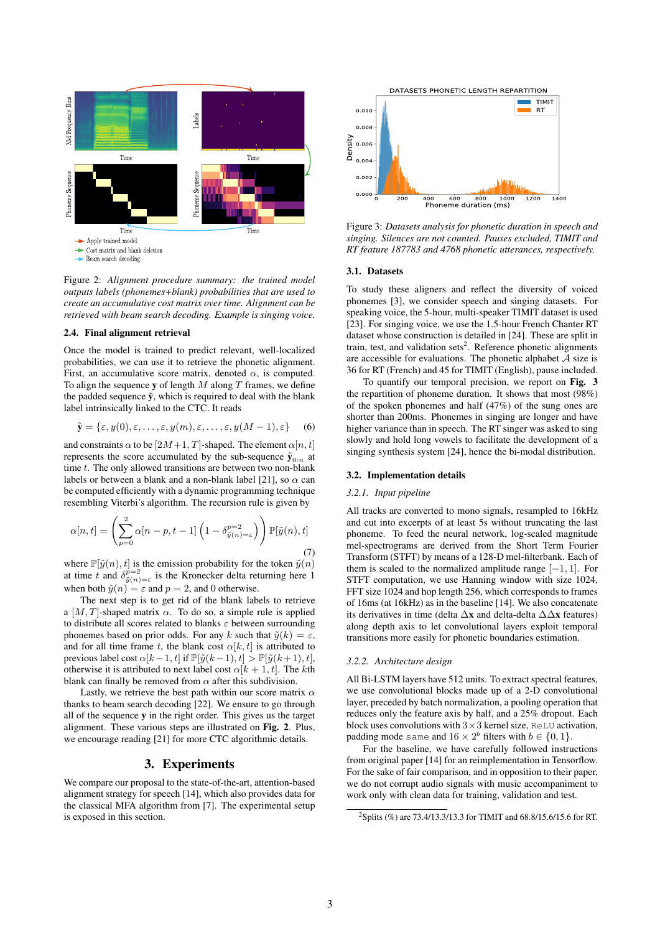

Figure 2: *Alignment procedure summary: the trained model outputs labels (phonemes+blank) probabilities that are used to create an accumulative cost matrix over time. Alignment can be retrieved with beam search decoding. Example is singing voice.*

#### 2.4. Final alignment retrieval

Once the model is trained to predict relevant, well-localized probabilities, we can use it to retrieve the phonetic alignment. First, an accumulative score matrix, denoted  $\alpha$ , is computed. To align the sequence y of length  $M$  along  $T$  frames, we define the padded sequence  $\tilde{y}$ , which is required to deal with the blank label intrinsically linked to the CTC. It reads

$$
\tilde{\mathbf{y}} = \{\varepsilon, y(0), \varepsilon, \dots, \varepsilon, y(m), \varepsilon, \dots, \varepsilon, y(M-1), \varepsilon\} \tag{6}
$$

and constraints  $\alpha$  to be  $[2M+1, T]$ -shaped. The element  $\alpha[n, t]$ represents the score accumulated by the sub-sequence  $\tilde{y}_{0:n}$  at time  $t$ . The only allowed transitions are between two non-blank labels or between a blank and a non-blank label [21], so  $\alpha$  can be computed efficiently with a dynamic programming technique resembling Viterbi's algorithm. The recursion rule is given by

$$
\alpha[n,t] = \left(\sum_{p=0}^{2} \alpha[n-p, t-1] \left(1 - \delta_{\tilde{y}(n)=\varepsilon}^{p=2}\right)\right) \mathbb{P}[\tilde{y}(n), t]
$$
\n(7)

where  $\mathbb{P}[\tilde{y}(n), t]$  is the emission probability for the token  $\tilde{y}(n)$ at time t and  $\delta_{\tilde{y}(n)=\varepsilon}^{p=2}$  is the Kronecker delta returning here 1 when both  $\tilde{y}(n) = \varepsilon$  and  $p = 2$ , and 0 otherwise.

The next step is to get rid of the blank labels to retrieve a  $[M, T]$ -shaped matrix  $\alpha$ . To do so, a simple rule is applied to distribute all scores related to blanks  $\varepsilon$  between surrounding phonemes based on prior odds. For any k such that  $\tilde{y}(k) = \varepsilon$ , and for all time frame t, the blank cost  $\alpha[k, t]$  is attributed to previous label cost  $\alpha[k-1, t]$  if  $\mathbb{P}[\tilde{y}(k-1), t] > \mathbb{P}[\tilde{y}(k+1), t]$ , otherwise it is attributed to next label cost  $\alpha[k+1, t]$ . The kth blank can finally be removed from  $\alpha$  after this subdivision.

Lastly, we retrieve the best path within our score matrix  $\alpha$ thanks to beam search decoding [22]. We ensure to go through all of the sequence y in the right order. This gives us the target alignment. These various steps are illustrated on Fig. 2. Plus, we encourage reading [21] for more CTC algorithmic details.

#### 3. Experiments

We compare our proposal to the state-of-the-art, attention-based alignment strategy for speech [14], which also provides data for the classical MFA algorithm from [7]. The experimental setup is exposed in this section.



Figure 3: *Datasets analysis for phonetic duration in speech and singing. Silences are not counted. Pauses excluded, TIMIT and RT feature 187783 and 4768 phonetic utterances, respectively.*

#### 3.1. Datasets

To study these aligners and reflect the diversity of voiced phonemes [3], we consider speech and singing datasets. For speaking voice, the 5-hour, multi-speaker TIMIT dataset is used [23]. For singing voice, we use the 1.5-hour French Chanter RT dataset whose construction is detailed in [24]. These are split in train, test, and validation sets<sup>2</sup>. Reference phonetic alignments are accessible for evaluations. The phonetic alphabet  $\tilde{A}$  size is 36 for RT (French) and 45 for TIMIT (English), pause included.

To quantify our temporal precision, we report on Fig. 3 the repartition of phoneme duration. It shows that most (98%) of the spoken phonemes and half (47%) of the sung ones are shorter than 200ms. Phonemes in singing are longer and have higher variance than in speech. The RT singer was asked to sing slowly and hold long vowels to facilitate the development of a singing synthesis system [24], hence the bi-modal distribution.

#### 3.2. Implementation details

#### *3.2.1. Input pipeline*

All tracks are converted to mono signals, resampled to 16kHz and cut into excerpts of at least 5s without truncating the last phoneme. To feed the neural network, log-scaled magnitude mel-spectrograms are derived from the Short Term Fourier Transform (STFT) by means of a 128-D mel-filterbank. Each of them is scaled to the normalized amplitude range  $[-1, 1]$ . For STFT computation, we use Hanning window with size 1024, FFT size 1024 and hop length 256, which corresponds to frames of 16ms (at 16kHz) as in the baseline [14]. We also concatenate its derivatives in time (delta  $\Delta x$  and delta-delta  $\Delta \Delta x$  features) along depth axis to let convolutional layers exploit temporal transitions more easily for phonetic boundaries estimation.

#### *3.2.2. Architecture design*

All Bi-LSTM layers have 512 units. To extract spectral features, we use convolutional blocks made up of a 2-D convolutional layer, preceded by batch normalization, a pooling operation that reduces only the feature axis by half, and a 25% dropout. Each block uses convolutions with  $3\times3$  kernel size, ReLU activation, padding mode same and  $16 \times 2^b$  filters with  $b \in \{0, 1\}.$ 

For the baseline, we have carefully followed instructions from original paper [14] for an reimplementation in Tensorflow. For the sake of fair comparison, and in opposition to their paper, we do not corrupt audio signals with music accompaniment to work only with clean data for training, validation and test.

<sup>2</sup>Splits (%) are 73.4/13.3/13.3 for TIMIT and 68.8/15.6/15.6 for RT.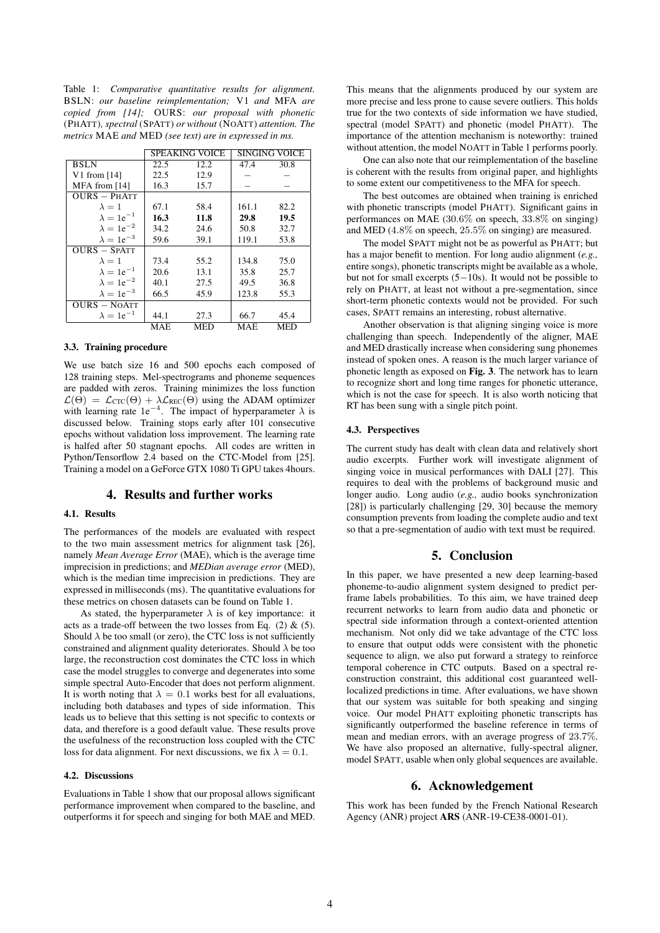Table 1: *Comparative quantitative results for alignment.* BSLN: *our baseline reimplementation;* V1 *and* MFA *are copied from [14];* OURS: *our proposal with phonetic* (PHATT)*, spectral* (SPATT) *or without* (NOATT) *attention. The metrics* MAE *and* MED *(see text) are in expressed in ms.*

|                     | <b>SPEAKING VOICE</b> |      | <b>SINGING VOICE</b> |            |
|---------------------|-----------------------|------|----------------------|------------|
| BSLN                | 22.5                  | 12.2 | 47.4                 | 30.8       |
| V1 from $[14]$      | 22.5                  | 12.9 |                      |            |
| MFA from $[14]$     | 16.3                  | 15.7 |                      |            |
| $OURS - PHATT$      |                       |      |                      |            |
| $\lambda = 1$       | 67.1                  | 58.4 | 161.1                | 82.2       |
| $\lambda = 1e^{-1}$ | 16.3                  | 11.8 | 29.8                 | 19.5       |
| $\lambda = 1e^{-2}$ | 34.2                  | 24.6 | 50.8                 | 32.7       |
| $\lambda = 1e^{-3}$ | 59.6                  | 39.1 | 119.1                | 53.8       |
| $OURS - SPATT$      |                       |      |                      |            |
| $\lambda = 1$       | 73.4                  | 55.2 | 134.8                | 75.0       |
| $\lambda = 1e^{-1}$ | 20.6                  | 13.1 | 35.8                 | 25.7       |
| $\lambda = 1e^{-2}$ | 40.1                  | 27.5 | 49.5                 | 36.8       |
| $\lambda = 1e^{-3}$ | 66.5                  | 45.9 | 123.8                | 55.3       |
| <b>OURS - NOATT</b> |                       |      |                      |            |
| $\lambda = 1e^{-1}$ | 44.1                  | 27.3 | 66.7                 | 45.4       |
|                     | MAE                   | MED  | MAE                  | <b>MED</b> |

#### 3.3. Training procedure

We use batch size 16 and 500 epochs each composed of 128 training steps. Mel-spectrograms and phoneme sequences are padded with zeros. Training minimizes the loss function  $\mathcal{L}(\Theta) = \mathcal{L}_{\text{CTC}}(\Theta) + \lambda \mathcal{L}_{\text{REC}}(\Theta)$  using the ADAM optimizer with learning rate  $1e^{-4}$ . The impact of hyperparameter  $\lambda$  is discussed below. Training stops early after 101 consecutive epochs without validation loss improvement. The learning rate is halfed after 50 stagnant epochs. All codes are written in Python/Tensorflow 2.4 based on the CTC-Model from [25]. Training a model on a GeForce GTX 1080 Ti GPU takes 4hours.

## 4. Results and further works

## 4.1. Results

The performances of the models are evaluated with respect to the two main assessment metrics for alignment task [26], namely *Mean Average Error* (MAE), which is the average time imprecision in predictions; and *MEDian average error* (MED), which is the median time imprecision in predictions. They are expressed in milliseconds (ms). The quantitative evaluations for these metrics on chosen datasets can be found on Table 1.

As stated, the hyperparameter  $\lambda$  is of key importance: it acts as a trade-off between the two losses from Eq.  $(2)$  &  $(5)$ . Should  $\lambda$  be too small (or zero), the CTC loss is not sufficiently constrained and alignment quality deteriorates. Should  $\lambda$  be too large, the reconstruction cost dominates the CTC loss in which case the model struggles to converge and degenerates into some simple spectral Auto-Encoder that does not perform alignment. It is worth noting that  $\lambda = 0.1$  works best for all evaluations, including both databases and types of side information. This leads us to believe that this setting is not specific to contexts or data, and therefore is a good default value. These results prove the usefulness of the reconstruction loss coupled with the CTC loss for data alignment. For next discussions, we fix  $\lambda = 0.1$ .

#### 4.2. Discussions

Evaluations in Table 1 show that our proposal allows significant performance improvement when compared to the baseline, and outperforms it for speech and singing for both MAE and MED. This means that the alignments produced by our system are more precise and less prone to cause severe outliers. This holds true for the two contexts of side information we have studied, spectral (model SPATT) and phonetic (model PHATT). The importance of the attention mechanism is noteworthy: trained without attention, the model NOATT in Table 1 performs poorly.

One can also note that our reimplementation of the baseline is coherent with the results from original paper, and highlights to some extent our competitiveness to the MFA for speech.

The best outcomes are obtained when training is enriched with phonetic transcripts (model PHATT). Significant gains in performances on MAE (30.6% on speech, 33.8% on singing) and MED (4.8% on speech, 25.5% on singing) are measured.

The model SPATT might not be as powerful as PHATT; but has a major benefit to mention. For long audio alignment (*e.g.,* entire songs), phonetic transcripts might be available as a whole, but not for small excerpts (5−10s). It would not be possible to rely on PHATT, at least not without a pre-segmentation, since short-term phonetic contexts would not be provided. For such cases, SPATT remains an interesting, robust alternative.

Another observation is that aligning singing voice is more challenging than speech. Independently of the aligner, MAE and MED drastically increase when considering sung phonemes instead of spoken ones. A reason is the much larger variance of phonetic length as exposed on Fig. 3. The network has to learn to recognize short and long time ranges for phonetic utterance, which is not the case for speech. It is also worth noticing that RT has been sung with a single pitch point.

#### 4.3. Perspectives

The current study has dealt with clean data and relatively short audio excerpts. Further work will investigate alignment of singing voice in musical performances with DALI [27]. This requires to deal with the problems of background music and longer audio. Long audio (*e.g.,* audio books synchronization [28]) is particularly challenging [29, 30] because the memory consumption prevents from loading the complete audio and text so that a pre-segmentation of audio with text must be required.

## 5. Conclusion

In this paper, we have presented a new deep learning-based phoneme-to-audio alignment system designed to predict perframe labels probabilities. To this aim, we have trained deep recurrent networks to learn from audio data and phonetic or spectral side information through a context-oriented attention mechanism. Not only did we take advantage of the CTC loss to ensure that output odds were consistent with the phonetic sequence to align, we also put forward a strategy to reinforce temporal coherence in CTC outputs. Based on a spectral reconstruction constraint, this additional cost guaranteed welllocalized predictions in time. After evaluations, we have shown that our system was suitable for both speaking and singing voice. Our model PHATT exploiting phonetic transcripts has significantly outperformed the baseline reference in terms of mean and median errors, with an average progress of 23.7%. We have also proposed an alternative, fully-spectral aligner, model SPATT, usable when only global sequences are available.

### 6. Acknowledgement

This work has been funded by the French National Research Agency (ANR) project ARS (ANR-19-CE38-0001-01).